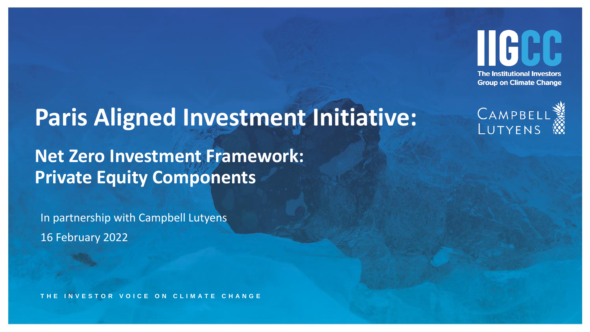

## **Paris Aligned Investment Initiative:**

**Net Zero Investment Framework: Private Equity Components** 

In partnership with Campbell Lutyens 16 February 2022

**T H E I N V E S T O R V O I C E O N C L I M A T E C H A N G E**

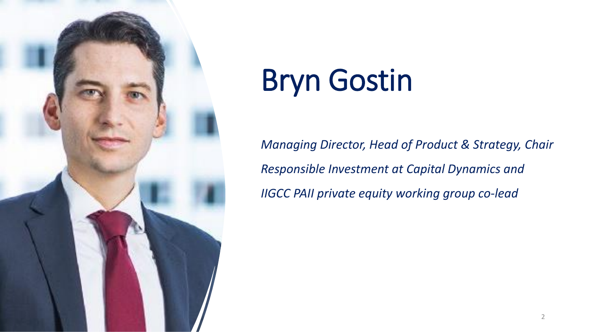

# Bryn Gostin

*Managing Director, Head of Product & Strategy, Chair Responsible Investment at Capital Dynamics and IIGCC PAII private equity working group co-lead*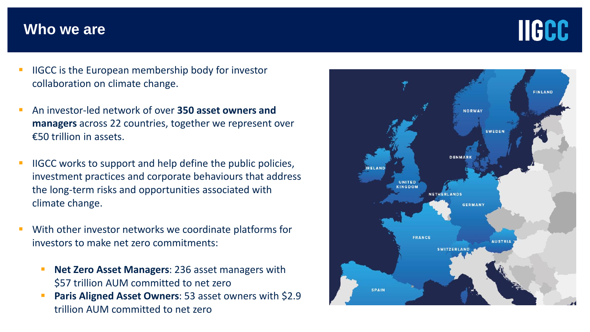## **Who we are**



- IIGCC is the European membership body for investor collaboration on climate change.
- An investor-led network of over **350 asset owners and managers** across 22 countries, together we represent over €50 trillion in assets.
- IIGCC works to support and help define the public policies, investment practices and corporate behaviours that address the long-term risks and opportunities associated with climate change.
- With other investor networks we coordinate platforms for investors to make net zero commitments:
	- **Net Zero Asset Managers: 236 asset managers with** \$57 trillion AUM committed to net zero
	- **Paris Aligned Asset Owners: 53 asset owners with \$2.9** trillion AUM committed to net zero

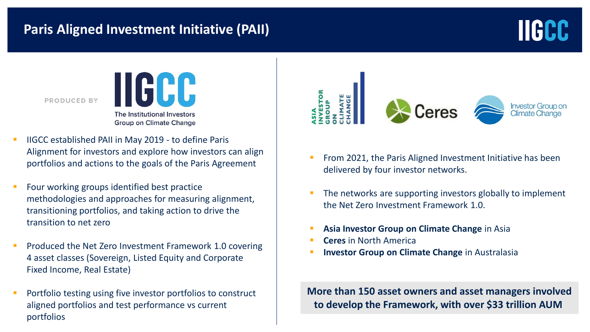## **Paris Aligned Investment Initiative (PAII)**



**PRODUCED BY** 



- IIGCC established PAII in May 2019 to define Paris Alignment for investors and explore how investors can align portfolios and actions to the goals of the Paris Agreement
- Four working groups identified best practice methodologies and approaches for measuring alignment, transitioning portfolios, and taking action to drive the transition to net zero
- Produced the Net Zero Investment Framework 1.0 covering 4 asset classes (Sovereign, Listed Equity and Corporate Fixed Income, Real Estate)
- Portfolio testing using five investor portfolios to construct aligned portfolios and test performance vs current portfolios



- From 2021, the Paris Aligned Investment Initiative has been delivered by four investor networks.
- The networks are supporting investors globally to implement the Net Zero Investment Framework 1.0.
- **Asia Investor Group on Climate Change** in Asia
- **Ceres** in North America
- **Investor Group on Climate Change** in Australasia

**More than 150 asset owners and asset managers involved to develop the Framework, with over \$33 trillion AUM**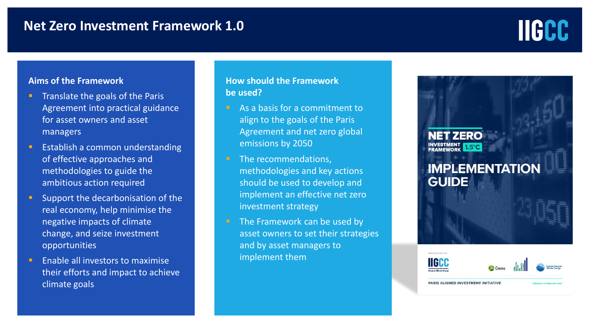### **Net Zero Investment Framework 1.0**

# **IIGCC**

#### **Aims of the Framework**

- Translate the goals of the Paris Agreement into practical guidance for asset owners and asset managers
- Establish a common understanding of effective approaches and methodologies to guide the ambitious action required
- Support the decarbonisation of the real economy, help minimise the negative impacts of climate change, and seize investment opportunities
- **E** Enable all investors to maximise their efforts and impact to achieve climate goals

#### **How should the Framework be used?**

- As a basis for a commitment to align to the goals of the Paris Agreement and net zero global emissions by 2050
- The recommendations, methodologies and key actions should be used to develop and implement an effective net zero investment strategy
- The Framework can be used by asset owners to set their strategies and by asset managers to implement them



PRODUCED B **HGH** 

**PARIS ALIGNED INVESTMENT INITIATIVE**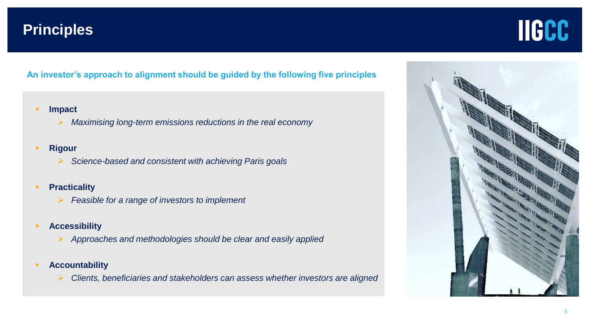## **Principles**



**An investor's approach to alignment should be guided by the following five principles**

- **Impact**
	- ➢ *Maximising long-term emissions reductions in the real economy*
- **Rigour**
	- ➢ *Science-based and consistent with achieving Paris goals*
- **Practicality**
	- ➢ *Feasible for a range of investors to implement*
- **Accessibility**
	- ➢ *Approaches and methodologies should be clear and easily applied*
- **Accountability**
	- ➢ *Clients, beneficiaries and stakeholders can assess whether investors are aligned*

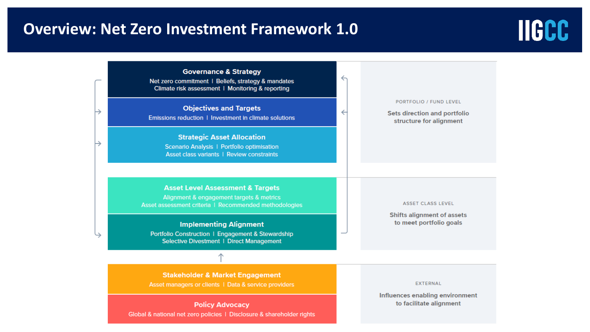## **Overview: Net Zero Investment Framework 1.0**



**Governance & Strategy**  $\leftrightarrow$ Net zero commitment | Beliefs, strategy & mandates Climate risk assessment | Monitoring & reporting PORTFOLIO / FUND LEVEL **Objectives and Targets**  $\leftarrow$ **Sets direction and portfolio** Emissions reduction | Investment in climate solutions structure for alignment **Strategic Asset Allocation** Scenario Analysis | Portfolio optimisation Asset class variants | Review constraints **Asset Level Assessment & Targets** Alignment & engagement targets & metrics ASSET CLASS LEVEL Asset assessment criteria | Recommended methodologies **Shifts alignment of assets** to meet portfolio goals **Implementing Alignment** Portfolio Construction | Engagement & Stewardship Selective Divestment | Direct Management

> **Stakeholder & Market Engagement** Asset managers or clients | Data & service providers

**Policy Advocacy** Global & national net zero policies | Disclosure & shareholder rights **EXTERNAL** 

Influences enabling environment to facilitate alignment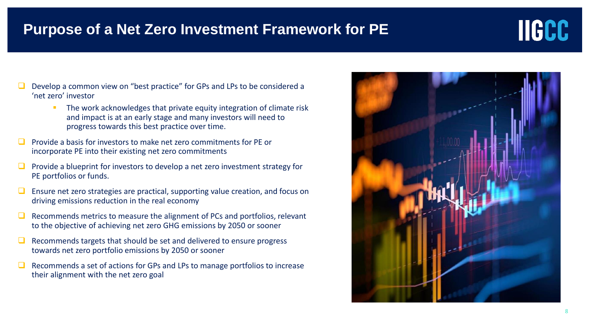## **Purpose of a Net Zero Investment Framework for PE**



- The work acknowledges that private equity integration of climate risk and impact is at an early stage and many investors will need to progress towards this best practice over time.
- ❑ Provide a basis for investors to make net zero commitments for PE or incorporate PE into their existing net zero commitments
- ❑ Provide a blueprint for investors to develop a net zero investment strategy for PE portfolios or funds.
- ❑ Ensure net zero strategies are practical, supporting value creation, and focus on driving emissions reduction in the real economy
- ❑ Recommends metrics to measure the alignment of PCs and portfolios, relevant to the objective of achieving net zero GHG emissions by 2050 or sooner
- ❑ Recommends targets that should be set and delivered to ensure progress towards net zero portfolio emissions by 2050 or sooner
- ❑ Recommends a set of actions for GPs and LPs to manage portfolios to increase their alignment with the net zero goal



**HGCC**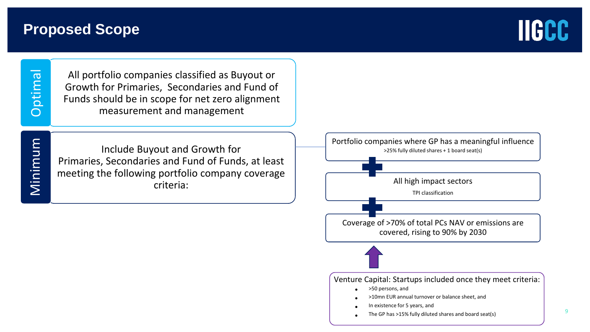## **Proposed Scope**



Minimum

All portfolio companies classified as Buyout or Growth for Primaries, Secondaries and Fund of Funds should be in scope for net zero alignment measurement and management

Include Buyout and Growth for Primaries, Secondaries and Fund of Funds, at least meeting the following portfolio company coverage criteria:

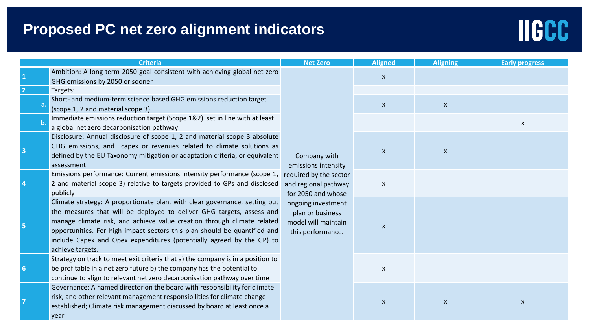## **Proposed PC net zero alignment indicators**



| <b>Criteria</b> |                                                                                                                                                                                                                                                                                                                                                                                                          | <b>Net Zero</b>                                                                                                                                                                                   | <b>Aligned</b>            | <b>Aligning</b>    | <b>Early progress</b>     |
|-----------------|----------------------------------------------------------------------------------------------------------------------------------------------------------------------------------------------------------------------------------------------------------------------------------------------------------------------------------------------------------------------------------------------------------|---------------------------------------------------------------------------------------------------------------------------------------------------------------------------------------------------|---------------------------|--------------------|---------------------------|
|                 | Ambition: A long term 2050 goal consistent with achieving global net zero<br>GHG emissions by 2050 or sooner                                                                                                                                                                                                                                                                                             | Company with<br>emissions intensity<br>required by the sector<br>and regional pathway<br>for 2050 and whose<br>ongoing investment<br>plan or business<br>model will maintain<br>this performance. | $\boldsymbol{\mathsf{x}}$ |                    |                           |
|                 | Targets:                                                                                                                                                                                                                                                                                                                                                                                                 |                                                                                                                                                                                                   |                           |                    |                           |
|                 | Short- and medium-term science based GHG emissions reduction target<br>(scope 1, 2 and material scope 3)                                                                                                                                                                                                                                                                                                 |                                                                                                                                                                                                   | $\mathsf X$               | $\pmb{\mathsf{X}}$ |                           |
|                 | Immediate emissions reduction target (Scope 1&2) set in line with at least<br>a global net zero decarbonisation pathway                                                                                                                                                                                                                                                                                  |                                                                                                                                                                                                   |                           |                    | $\boldsymbol{\mathsf{x}}$ |
|                 | Disclosure: Annual disclosure of scope 1, 2 and material scope 3 absolute<br>GHG emissions, and capex or revenues related to climate solutions as<br>defined by the EU Taxonomy mitigation or adaptation criteria, or equivalent<br>assessment                                                                                                                                                           |                                                                                                                                                                                                   | $\pmb{\times}$            | $\pmb{\mathsf{X}}$ |                           |
|                 | Emissions performance: Current emissions intensity performance (scope 1,<br>2 and material scope 3) relative to targets provided to GPs and disclosed<br>publicly                                                                                                                                                                                                                                        |                                                                                                                                                                                                   | $\boldsymbol{\mathsf{x}}$ |                    |                           |
|                 | Climate strategy: A proportionate plan, with clear governance, setting out<br>the measures that will be deployed to deliver GHG targets, assess and<br>manage climate risk, and achieve value creation through climate related<br>opportunities. For high impact sectors this plan should be quantified and<br>include Capex and Opex expenditures (potentially agreed by the GP) to<br>achieve targets. |                                                                                                                                                                                                   | $\mathsf{x}$              |                    |                           |
| -6              | Strategy on track to meet exit criteria that a) the company is in a position to<br>be profitable in a net zero future b) the company has the potential to<br>continue to align to relevant net zero decarbonisation pathway over time                                                                                                                                                                    |                                                                                                                                                                                                   | $\boldsymbol{\mathsf{x}}$ |                    |                           |
|                 | Governance: A named director on the board with responsibility for climate<br>risk, and other relevant management responsibilities for climate change<br>established; Climate risk management discussed by board at least once a<br>year                                                                                                                                                                  |                                                                                                                                                                                                   | $\pmb{\times}$            | $\pmb{\times}$     | X                         |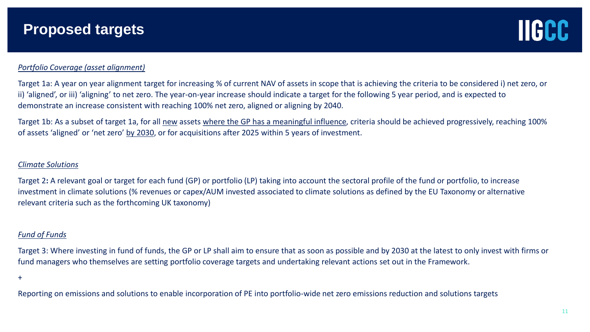

#### *Portfolio Coverage (asset alignment)*

Target 1a: A year on year alignment target for increasing % of current NAV of assets in scope that is achieving the criteria to be considered i) net zero, or ii) 'aligned', or iii) 'aligning' to net zero. The year-on-year increase should indicate a target for the following 5 year period, and is expected to demonstrate an increase consistent with reaching 100% net zero, aligned or aligning by 2040.

Target 1b: As a subset of target 1a, for all new assets where the GP has a meaningful influence, criteria should be achieved progressively, reaching 100% of assets 'aligned' or 'net zero' by 2030, or for acquisitions after 2025 within 5 years of investment.

#### *Climate Solutions*

Target 2**:** A relevant goal or target for each fund (GP) or portfolio (LP) taking into account the sectoral profile of the fund or portfolio, to increase investment in climate solutions (% revenues or capex/AUM invested associated to climate solutions as defined by the EU Taxonomy or alternative relevant criteria such as the forthcoming UK taxonomy)

#### *Fund of Funds*

Target 3: Where investing in fund of funds, the GP or LP shall aim to ensure that as soon as possible and by 2030 at the latest to only invest with firms or fund managers who themselves are setting portfolio coverage targets and undertaking relevant actions set out in the Framework.

+

Reporting on emissions and solutions to enable incorporation of PE into portfolio-wide net zero emissions reduction and solutions targets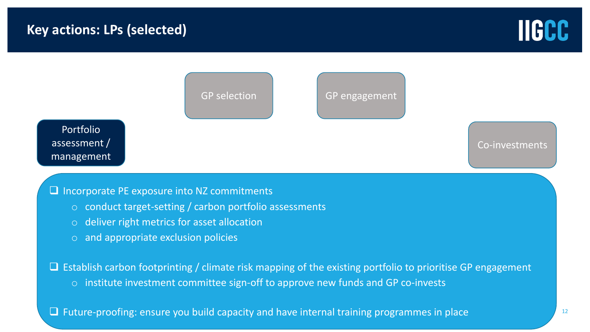



#### ❑ Incorporate PE exposure into NZ commitments

- o conduct target-setting / carbon portfolio assessments
- o deliver right metrics for asset allocation
- o and appropriate exclusion policies

 $\Box$  Establish carbon footprinting / climate risk mapping of the existing portfolio to prioritise GP engagement

o institute investment committee sign-off to approve new funds and GP co-invests

❑ Future-proofing: ensure you build capacity and have internal training programmes in place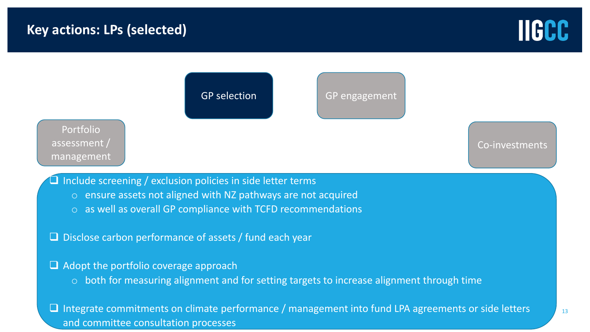



and committee consultation processes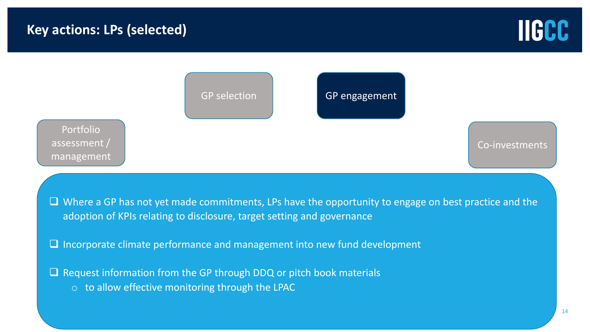



□ Request information from the GP through DDQ or pitch book materials o to allow effective monitoring through the LPAC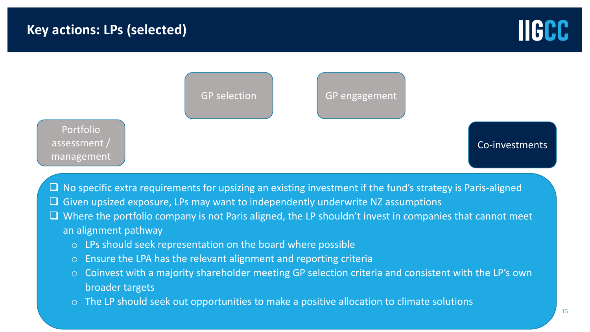



- $\square$  No specific extra requirements for upsizing an existing investment if the fund's strategy is Paris-aligned
- ❑ Given upsized exposure, LPs may want to independently underwrite NZ assumptions
- ❑ Where the portfolio company is not Paris aligned, the LP shouldn't invest in companies that cannot meet an alignment pathway
	- o LPs should seek representation on the board where possible
	- o Ensure the LPA has the relevant alignment and reporting criteria
	- o Coinvest with a majority shareholder meeting GP selection criteria and consistent with the LP's own broader targets
	- The LP should seek out opportunities to make a positive allocation to climate solutions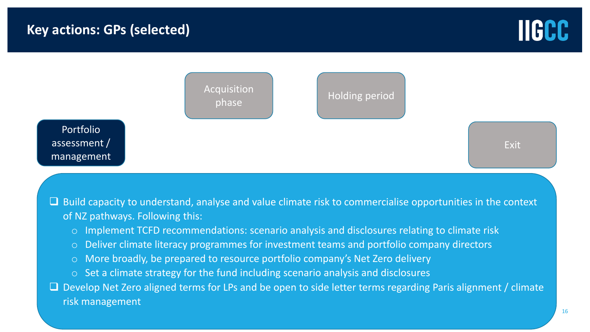



❑ Build capacity to understand, analyse and value climate risk to commercialise opportunities in the context of NZ pathways. Following this:

- o Implement TCFD recommendations: scenario analysis and disclosures relating to climate risk
- o Deliver climate literacy programmes for investment teams and portfolio company directors
- o More broadly, be prepared to resource portfolio company's Net Zero delivery
- o Set a climate strategy for the fund including scenario analysis and disclosures

□ Develop Net Zero aligned terms for LPs and be open to side letter terms regarding Paris alignment / climate risk management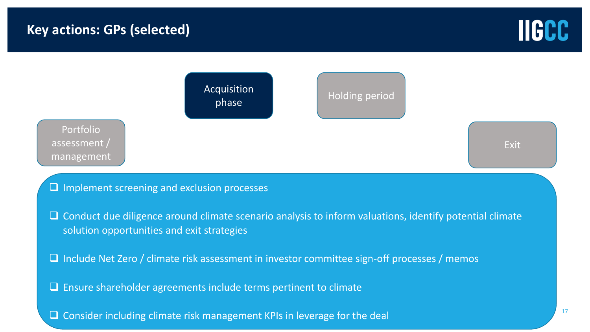



□ Conduct due diligence around climate scenario analysis to inform valuations, identify potential climate solution opportunities and exit strategies

❑ Include Net Zero / climate risk assessment in investor committee sign-off processes / memos

❑ Ensure shareholder agreements include terms pertinent to climate

□ Consider including climate risk management KPIs in leverage for the deal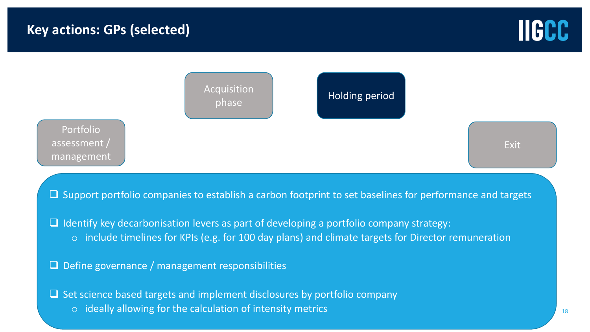



❑ Support portfolio companies to establish a carbon footprint to set baselines for performance and targets

❑ Identify key decarbonisation levers as part of developing a portfolio company strategy: o include timelines for KPIs (e.g. for 100 day plans) and climate targets for Director remuneration

- 
- $\Box$  Define governance / management responsibilities

❑ Set science based targets and implement disclosures by portfolio company o ideally allowing for the calculation of intensity metrics

18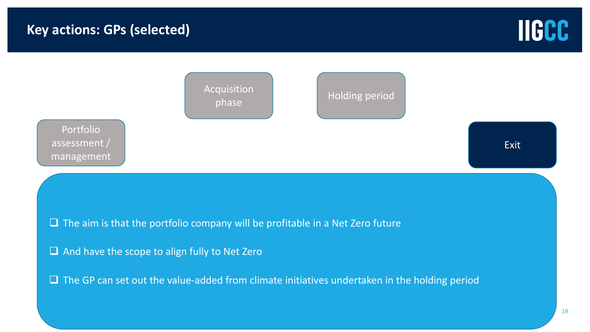

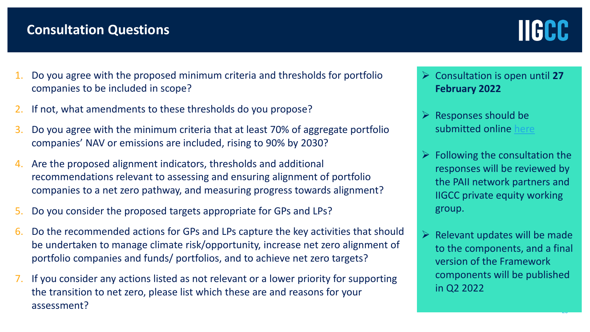## **Consultation Questions**



..

- 1. Do you agree with the proposed minimum criteria and thresholds for portfolio companies to be included in scope?
- If not, what amendments to these thresholds do you propose?
- 3. Do you agree with the minimum criteria that at least 70% of aggregate portfolio companies' NAV or emissions are included, rising to 90% by 2030?
- Are the proposed alignment indicators, thresholds and additional recommendations relevant to assessing and ensuring alignment of portfolio companies to a net zero pathway, and measuring progress towards alignment?
- 5. Do you consider the proposed targets appropriate for GPs and LPs?
- 6. Do the recommended actions for GPs and LPs capture the key activities that should be undertaken to manage climate risk/opportunity, increase net zero alignment of portfolio companies and funds/ portfolios, and to achieve net zero targets?
- 7. If you consider any actions listed as not relevant or a lower priority for supporting the transition to net zero, please list which these are and reasons for your assessment?
- ➢ Consultation is open until **27 February 2022**
- $\triangleright$  Responses should be submitted online [here](https://www.surveymonkey.co.uk/r/8FLMVMG)
- $\triangleright$  Following the consultation the responses will be reviewed by the PAII network partners and IIGCC private equity working group.
- $\triangleright$  Relevant updates will be made to the components, and a final version of the Framework components will be published in Q2 2022